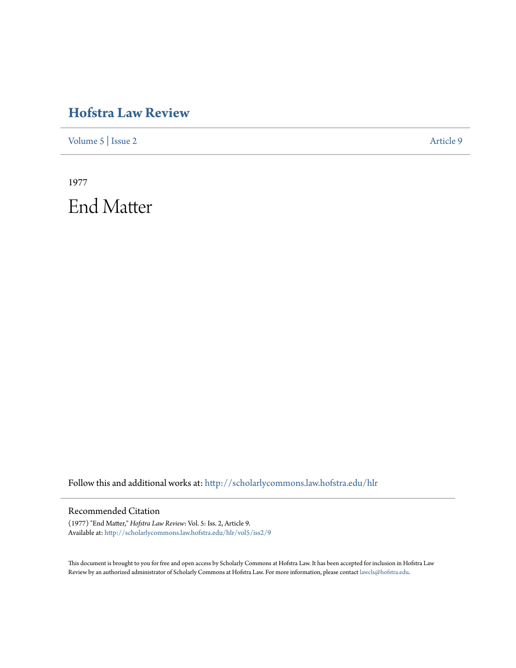# **[Hofstra Law Review](http://scholarlycommons.law.hofstra.edu/hlr?utm_source=scholarlycommons.law.hofstra.edu%2Fhlr%2Fvol5%2Fiss2%2F9&utm_medium=PDF&utm_campaign=PDFCoverPages)**

[Volume 5](http://scholarlycommons.law.hofstra.edu/hlr/vol5?utm_source=scholarlycommons.law.hofstra.edu%2Fhlr%2Fvol5%2Fiss2%2F9&utm_medium=PDF&utm_campaign=PDFCoverPages) | [Issue 2](http://scholarlycommons.law.hofstra.edu/hlr/vol5/iss2?utm_source=scholarlycommons.law.hofstra.edu%2Fhlr%2Fvol5%2Fiss2%2F9&utm_medium=PDF&utm_campaign=PDFCoverPages) [Article 9](http://scholarlycommons.law.hofstra.edu/hlr/vol5/iss2/9?utm_source=scholarlycommons.law.hofstra.edu%2Fhlr%2Fvol5%2Fiss2%2F9&utm_medium=PDF&utm_campaign=PDFCoverPages)

1977 End Matter

Follow this and additional works at: [http://scholarlycommons.law.hofstra.edu/hlr](http://scholarlycommons.law.hofstra.edu/hlr?utm_source=scholarlycommons.law.hofstra.edu%2Fhlr%2Fvol5%2Fiss2%2F9&utm_medium=PDF&utm_campaign=PDFCoverPages)

## Recommended Citation

(1977) "End Matter," *Hofstra Law Review*: Vol. 5: Iss. 2, Article 9. Available at: [http://scholarlycommons.law.hofstra.edu/hlr/vol5/iss2/9](http://scholarlycommons.law.hofstra.edu/hlr/vol5/iss2/9?utm_source=scholarlycommons.law.hofstra.edu%2Fhlr%2Fvol5%2Fiss2%2F9&utm_medium=PDF&utm_campaign=PDFCoverPages)

This document is brought to you for free and open access by Scholarly Commons at Hofstra Law. It has been accepted for inclusion in Hofstra Law Review by an authorized administrator of Scholarly Commons at Hofstra Law. For more information, please contact [lawcls@hofstra.edu](mailto:lawcls@hofstra.edu).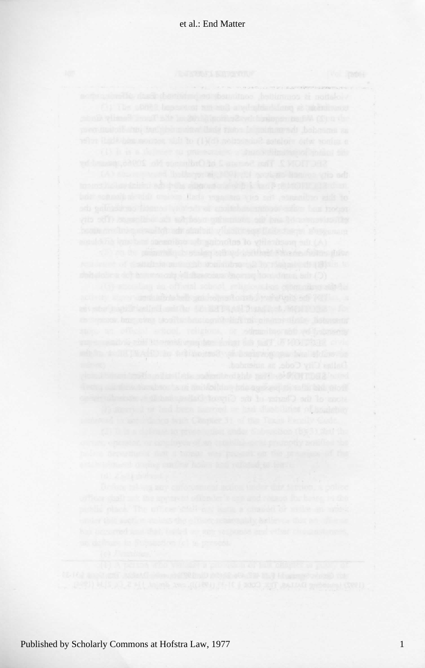contracting to the extension of program and company ages but commit actifs which their reparact vits art examilies and to